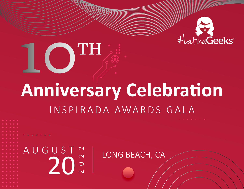

# **10TH**

## **Anniversary Celebration** INSPIRADA AWARDS GALA

AUGUST ~ LONG BEACH, CA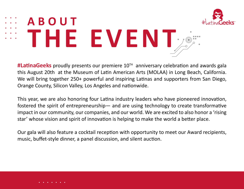

# **ABOUT THE EVENT**

**#LatinaGeeks** proudly presents our premiere 10TH anniversary celebration and awards gala this August 20th at the Museum of Latin American Arts (MOLAA) in Long Beach, California. We will bring together 250+ powerful and inspiring Latinas and supporters from San Diego, Orange County, Silicon Valley, Los Angeles and nationwide.

This year, we are also honoring four Latina industry leaders who have pioneered innovation, fostered the spirit of entrepreneurship— and are using technology to create transformative impact in our community, our companies, and our world. We are excited to also honor a 'rising star' whose vision and spirit of innovation is helping to make the world a better place.

Our gala will also feature a cocktail reception with opportunity to meet our Award recipients, music, buffet-style dinner, a panel discussion, and silent auction.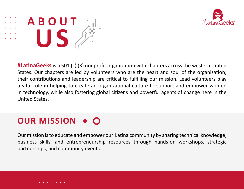



**#LatinaGeeks** is a 501 (c) (3) nonprofit organization with chapters across the western United States. Our chapters are led by volunteers who are the heart and soul of the organization; their contributions and leadership are critical to fulfilling our mission. Lead volunteers play a vital role in helping to create an organizational culture to support and empower women in technology, while also fostering global citizens and powerful agents of change here in the United States.

#### **OUR MISSION**

Ourmission isto educate and empower our Latina community by sharing technical knowledge, business skills, and entrepreneurship resources through hands-on workshops, strategic partnerships, and community events.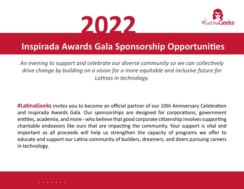



#### **Inspirada Awards Gala Sponsorship Opportunities**

*An evening to support and celebrate our diverse community so we can collectively drive change by building on a vision for a more equitable and inclusive future for Latinas in technology.*

**#LatinaGeeks** invites you to become an official partner of our 10th Anniversary Celebration and Inspirada Awards Gala. Our sponsorships are designed for corporations, government entities, academia, and more - who believe that good corporate citizenship involves supporting charitable endeavors like ours that are impacting the community. Your support is vital and important as all proceeds will help us strengthen the capacity of programs we offer to educate and support our Latina community of builders, dreamers, and doers pursuing careers in technology.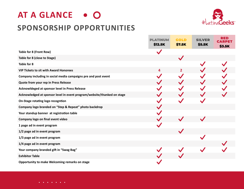#### **SPONSORSHIP OPPORTUNITIES**



|                                                                         | <b>PLATINUM</b><br>\$12.5K | <b>GOLD</b><br>\$7.5K | <b>SILVER</b><br>\$5.5K | <b>RED</b><br>\$3.5K |
|-------------------------------------------------------------------------|----------------------------|-----------------------|-------------------------|----------------------|
| Table for 8 (Front Row)                                                 | $\checkmark$               |                       |                         |                      |
| Table for 8 (close to Stage)                                            |                            | $\checkmark$          |                         |                      |
| Table for 8                                                             |                            |                       |                         |                      |
| <b>VIP Tickets to sit with Award Honorees</b>                           | 4                          | $\mathbf{2}$          |                         |                      |
| Company including in social media campaigns pre and post event          |                            |                       |                         |                      |
| Quote from your rep in Press Release                                    |                            |                       |                         |                      |
| Acknowldeged at sponsor level in Press Release                          |                            |                       |                         |                      |
| Acknowledged at sponsor level in event program/website/thanked on stage |                            |                       |                         |                      |
| On-Stage rotating logo recogntion                                       |                            |                       |                         |                      |
| Company logo branded on "Step & Repeat" photo backdrop                  |                            |                       |                         |                      |
| Your standup banner at registration table                               |                            |                       |                         |                      |
| Company logo on final event video                                       |                            |                       |                         |                      |
| 1 page ad in event program                                              |                            |                       |                         |                      |
| 1/2 page ad in event program                                            |                            | $\blacktriangledown$  |                         |                      |
| 1/3 page ad in event program                                            |                            |                       |                         |                      |
| 1/4 page ad in event program                                            |                            |                       |                         |                      |
| Your company branded gift in "Swag Bag"                                 |                            |                       |                         |                      |
| <b>Exhibitor Table</b>                                                  |                            |                       |                         |                      |
| Opportunity to make Welcoming remarks on stage                          |                            |                       |                         |                      |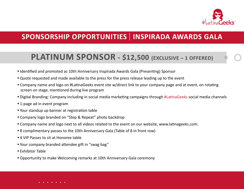

#### **PLATINUM SPONSOR - \$12,500 (EXCLUSIVE – 1 OFFERED)**

- **•** Identified and promoted as 10th Anniversary Inspirada Awards Gala (Presenting) Sponsor
- **•** Quote requested and made available to the press for the press release leading up to the event
- **•** Company name and logo on #LatinaGeeks event site w/direct link to your company page and at event, on rotating screen on stage, mentioned during live program
- **•** Digital Branding: Company including in social media marketing campaigns through #LatinaGeeks social media channels
- **•** 1-page ad in event program
- **•** Your standup up banner at registration table
- **•** Company logo branded on "Step & Repeat" photo backdrop
- **•** Company name and logo next to all videos related to the event on our website, www.latinageeks.com.
- **•** 8 complimentary passes to the 10th Anniversary Gala (Table of 8 in front row)
- **•** 4 VIP Passes to sit at Honoree table
- **•** Your company branded attendee gift in "swag bag"
- **•** Exhibitor Table
- **•** Opportunity to make Welcoming remarks at 10th Anniversary Gala ceremony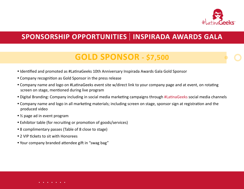

#### **GOLD SPONSOR - \$7,500**

- **•** Identified and promoted as #LatinaGeeks 10th Anniversary Inspirada Awards Gala Gold Sponsor
- **•** Company recognition as Gold Sponsor in the press release
- **•** Company name and logo on #LatinaGeeks event site w/direct link to your company page and at event, on rotating screen on stage, mentioned during live program
- **•** Digital Branding: Company including in social media marketing campaigns through #LatinaGeeks social media channels
- **•** Company name and logo in all marketing materials; including screen on stage, sponsor sign at registration and the produced video
- **•** ½ page ad in event program
- **•** Exhibitor table (for recruiting or promotion of goods/services)
- **•** 8 complimentary passes (Table of 8 close to stage)
- **•** 2 VIP tickets to sit with Honorees
- **•** Your company branded attendee gift in "swag bag"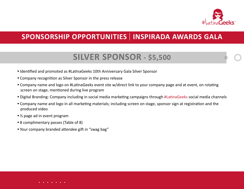

#### **SILVER SPONSOR - \$5,500**

- **•** Identified and promoted as #LatinaGeeks 10th Anniversary Gala Silver Sponsor
- **•** Company recognition as Silver Sponsor in the press release
- **•** Company name and logo on #LatinaGeeks event site w/direct link to your company page and at event, on rotating screen on stage, mentioned during live program
- **•** Digital Branding: Company including in social media marketing campaigns through #LatinaGeeks social media channels
- **•** Company name and logo in all marketing materials; including screen on stage, sponsor sign at registration and the produced video
- $\frac{1}{3}$  page ad in event program
- **•** 8 complimentary passes (Table of 8)
- **•** Your company branded attendee gift in "swag bag"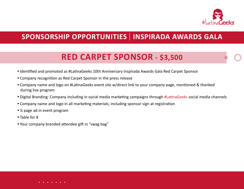

#### **RED CARPET SPONSOR - \$3,500**

- **•** Identified and promoted as #LatinaGeeks 10th Anniversary Inspirada Awards Gala Red Carpet Sponsor
- **•** Company recognition as Red Carpet Sponsor in the press release
- **•** Company name and logo on #LatinaGeeks event site w/direct link to your company page, mentioned & thanked during live program
- **•** Digital Branding: Company including in social media marketing campaigns through #LatinaGeeks social media channels
- **•** Company name and logo in all marketing materials; including sponsor sign at registration
- **•** ¼ page ad in event program
- **•** Table for 8
- **•** Your company branded attendee gift in "swag bag"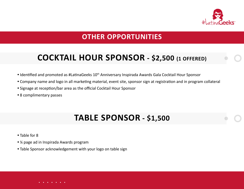

#### **OTHER OPPORTUNITIES**

#### **COCKTAIL HOUR SPONSOR - \$2,500 (1 OFFERED)**

- Identified and promoted as #LatinaGeeks 10<sup>th</sup> Anniversary Inspirada Awards Gala Cocktail Hour Sponsor
- **•** Company name and logo in all marketing material, event site, sponsor sign at registration and in program collateral
- **•** Signage at reception/bar area as the official Cocktail Hour Sponsor
- **•** 8 complimentary passes

#### **TABLE SPONSOR - \$1,500**

- **•** Table for 8
- **•** ¼ page ad in Inspirada Awards program
- **•** Table Sponsor acknowledgement with your logo on table sign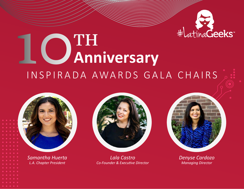

# **10TH Anniversary** INSPIRADA AWARDS GALA CHAIRS



*Samantha Huerta L.A. Chapter President*



*Lala Castro Co-Founder & Executive Director*



*Denyse Cardozo Managing Director*